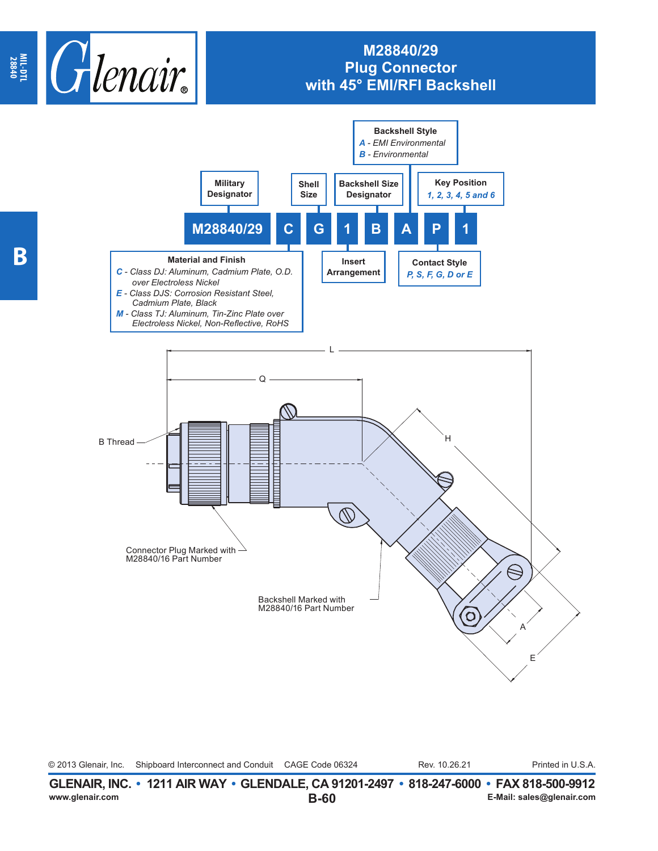

## **M28840/29 Plug Connector with 45° EMI/RFI Backshell**



© 2013 Glenair, Inc. Shipboard Interconnect and Conduit CAGE Code 06324 Rev. 10.26.21 Printed in U.S.A. Rev. 10.26.21

**B-60 GLENAIR, INC. • 1211 AIR WAY • GLENDALE, CA 91201-2497 • 818-247-6000 • FAX 818-500-9912**<br>E-Mail: sales@glenair.com **www.glenair.com E-Mail: sales@glenair.com**